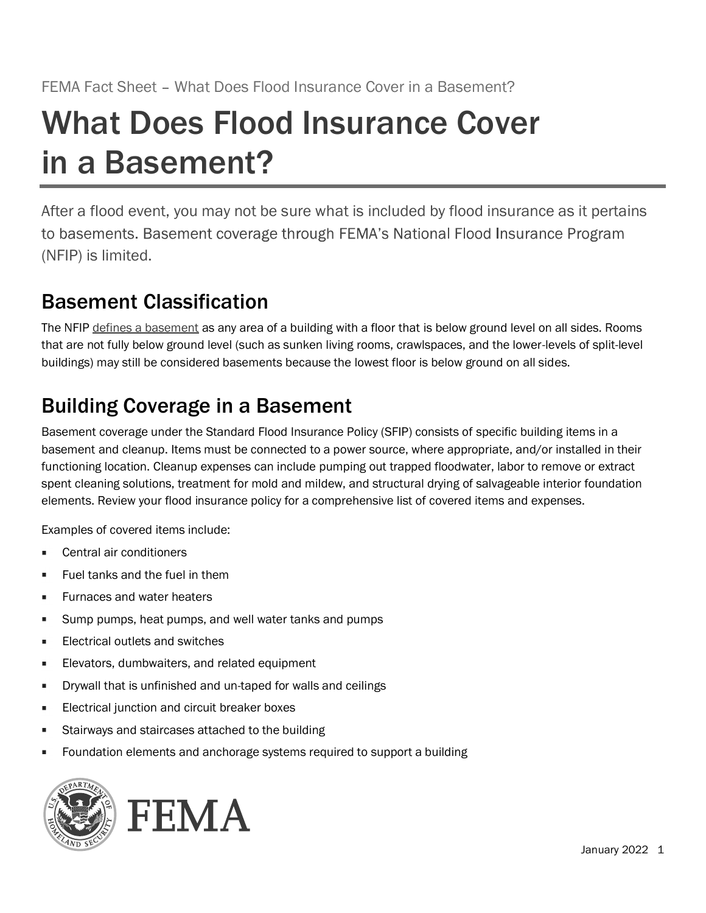# What Does Flood Insurance Cover in a Basement? FEMA Fact Sheet – What Does Flood Insurance Cover in a Bas<br> **What Does Flood Insurance Cover in a Bas**<br> **in a Basement, you may not be sure what is included by flotted.**<br>
After a flood event, you may not be sure what is in FEMA Fact Sheet – What Does Flood Insurance Cover in a Basement?<br> **What Does Flood Insurance Covers**<br> **In a Basement:**<br>
After a flood event, you may not be sure what is included by flood insurance as it pertains<br>
to baseme

After a flood event, you may not be sure what is included by flood insurance as it pertains

# Basement Classification

that are not fully below ground level (such as sunken living rooms, crawlspaces, and the lower-levels of split-level buildings) may still be considered basements because the lowest floor is below ground on all sides.

# Building Coverage in a Basement

**THE COVERTS ASSEMENT?**<br> **Example 2018 COVERTS ASSEMENT:**<br>
After a flood event, you may not be sure what is included by flood insurance as it pertains<br>
to basements. Basement coverage through FEMA's National Flood Insuranc **in a Basement Constraine Statement and cleanup experience and induced by flood insurance as it pertains<br>
to basements. Basement coverage through FEMA's National Flood Insurance Program<br>
(NFIP) is limited.<br>
<b>Basement Class** THE CONSTITUTE 11 CHEAN SHOT IS A SHOT IS THE STAND STATE OF SURFACT AND THE THIS TO DESCRIPT THE STAND IS UNITED ASSEMENT CONSTRANT THE MANATE SURFACT IS UNITED ASSEMENT (NFIP) IS limited.<br> **BASEMENT Classification**<br>
The spent cleaning solutions, treatment for mold and mildew, and structural drying of salvageable interior foundation After a flood event, you may not be sure what is included by flood insurance as it pertains<br>to basements. Basement coverage through FEMA's National Flood Insurance Program<br>(NFIP) is limited.<br>**Basement Classification**<br>The N Foundation elements and anchorage systems required to support abuilding<br>Foundation (Cleanup expenses can include pumping out trapped floodwater, labor to ter<br>int cleaning solutions, treatment for mold and mildev, and struc

Examples of covered items include:

- Central air conditioners
- Fuel tanks and the fuel in them
- Furnaces and water heaters g.
- Sump pumps, heat pumps, and well water tanks and pumps n.
- Electrical outlets and switches n,
- Elevators, dumbwaiters, and related equipment
- Drywall that is unfinished and un-taped for walls and ceilings п
- Electrical junction and circuit breaker boxes ×
- Stairways and staircases attached to the building I.
-